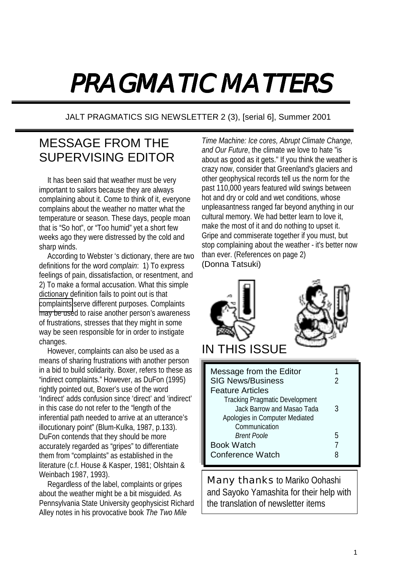# PRAGMATIC MATTERS

JALT PRAGMATICS SIG NEWSLETTER 2 (3), [serial 6], Summer 2001

## MESSAGE FROM THE SUPERVISING EDITOR

It has been said that weather must be very important to sailors because they are always complaining about it. Come to think of it, everyone complains about the weather no matter what the temperature or season. These days, people moan that is "So hot", or "Too humid" yet a short few weeks ago they were distressed by the cold and sharp winds.

According to Webster 's dictionary, there are two definitions for the word *complain*: 1) To express feelings of pain, dissatisfaction, or resentment, and 2) To make a formal accusation. What this simple dictionary definition fails to point out is that [complaints](mailto:com@lints) serve different purposes. Complaints may be used to raise another person's awareness of frustrations, stresses that they might in some way be seen responsible for in order to instigate changes.

However, complaints can also be used as a means of sharing frustrations with another person in a bid to build solidarity. Boxer, refers to these as "indirect complaints." However, as DuFon (1995) rightly pointed out, Boxer's use of the word 'Indirect' adds confusion since 'direct' and 'indirect' in this case do not refer to the "length of the inferential path needed to arrive at an utterance's illocutionary point" (Blum-Kulka, 1987, p.133). DuFon contends that they should be more accurately regarded as "gripes" to differentiate them from "complaints" as established in the literature (c.f. House & Kasper, 1981; Olshtain & Weinbach 1987, 1993).

Regardless of the label, complaints or gripes about the weather might be a bit misguided. As Pennsylvania State University geophysicist Richard Alley notes in his provocative book *The Two Mile* 

*Time Machine: Ice cores, Abrupt Climate Change, and Our Future*, the climate we love to hate "is about as good as it gets." If you think the weather is crazy now, consider that Greenland's glaciers and other geophysical records tell us the norm for the past 110,000 years featured wild swings between hot and dry or cold and wet conditions, whose unpleasantness ranged far beyond anything in our cultural memory. We had better learn to love it, make the most of it and do nothing to upset it. Gripe and commiserate together if you must, but stop complaining about the weather - it's better now than ever. (References on page 2) (Donna Tatsuki)



| Communication      |   |
|--------------------|---|
| <i>Brent Poole</i> | h |
| <b>Book Watch</b>  |   |
| Conference Watch   | 8 |
|                    |   |

Many thanks to Mariko Oohashi and Sayoko Yamashita for their help with the translation of newsletter items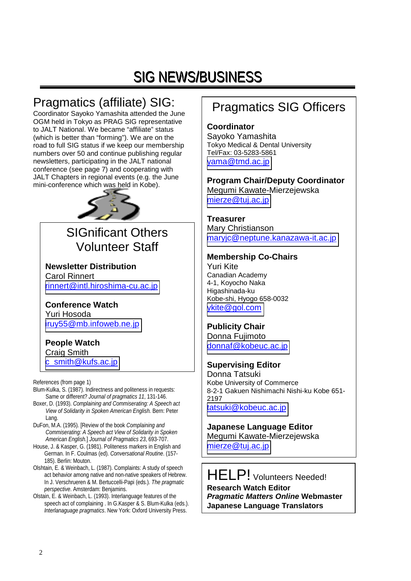## SIG NEWS/BUSINESS

## Pragmatics (affiliate) SIG:

Coordinator Sayoko Yamashita attended the June OGM held in Tokyo as PRAG SIG representative to JALT National. We became "affiliate" status (which is better than "forming"). We are on the road to full SIG status if we keep our membership numbers over 50 and continue publishing regular newsletters, participating in the JALT national conference (see page 7) and cooperating with JALT Chapters in regional events (e.g. the June mini-conference which was held in Kobe).



## SIGnificant Others Volunteer Staff

**Newsletter Distribution**  Carol Rinnert [rinnert@intl.hiroshima-cu.ac.jp](mailto:rinnert@intl.hiroshima-cu.ac.jp)

**Conference Watch**  Yuri Hosoda [iruy55@mb.infoweb.ne.jp](mailto:iruy55@mb.infoweb.ne.jp)

## **People Watch**

Craig Smith [c\\_smith@kufs.ac.jp](mailto:c_smith@kufs.ac.jp)

References (from page 1)

- Blum-Kulka, S. (1987). Indirectness and politeness in requests: Same or different? *Journal of pragmatics 11*, 131-146.
- Boxer, D. (1993). *Complaining and Commiserating: A Speech act View of Solidarity in Spoken American English.* Bern: Peter Lang.
- DuFon, M.A. (1995). [Review of the book *Complaining and Commiserating: A Speech act View of Solidarity in Spoken American English.*] *Journal of Pragmatics 23*, 693-707.
- House, J. & Kasper, G. (1981). Politeness markers in English and German. In F. Coulmas (ed). *Conversational Routine*. (157- 185). Berlin: Mouton.
- Olshtain, E. & Weinbach, L. (1987). Complaints: A study of speech act behavior among native and non-native speakers of Hebrew. In J. Verschrueren & M. Bertuccelli-Papi (eds.). *The pragmatic perspective*. Amsterdam: Benjamins.
- Olstain, E. & Weinbach, L. (1993). Interlanguage features of the speech act of complaining . In G.Kasper & S. Blum-Kulka (eds.). *Interlanaguage pragmatics*. New York: Oxford University Press.

## Pragmatics SIG Officers

#### **Coordinator**

Sayoko Yamashita Tokyo Medical & Dental University Tel/Fax: 03-5283-5861 [yama@tmd.ac.jp](mailto:yama@tmd.ac.jp)

**Program Chair/Deputy Coordinator**  Megumi Kawate-Mierzejewska [mierze@tuj.ac.jp](mailto:mierze@tuj.ac.jp)

**Treasurer**  Mary Christianson [maryjc@neptune.kanazawa-it.ac.jp](mailto:maryjc@neptune.kanazawa-it.ac.jp)

### **Membership Co-Chairs**

Yuri Kite Canadian Academy 4-1, Koyocho Naka Higashinada-ku Kobe-shi, Hyogo 658-0032 [ykite@gol.com](mailto:ykite@gol.com)

### **Publicity Chair**

Donna Fujimoto [donnaf@kobeuc.ac.jp](mailto:donnaf@kobeuc.ac.jp)

### **Supervising Editor**

Donna Tatsuki Kobe University of Commerce 8-2-1 Gakuen Nishimachi Nishi-ku Kobe 651- 2197 [tatsuki@kobeuc.ac.jp](mailto:tatsuki@kobeuc.ac.jp)

**Japanese Language Editor**  Megumi Kawate-Mierzejewska [mierze@tuj.ac.jp](mailto:mierze@tuj.ac.jp)

HELP! Volunteers Needed! **Research Watch Editor**  *Pragmatic Matters Online* **Webmaster Japanese Language Translators**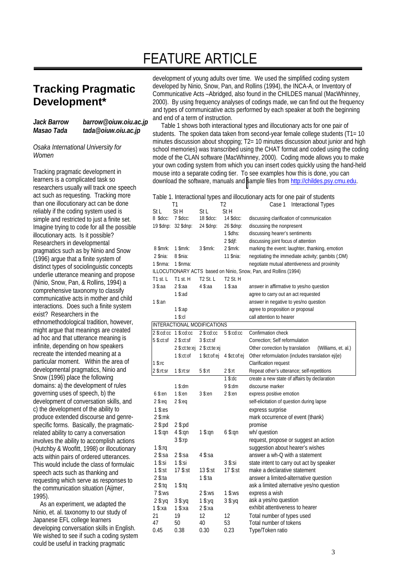## FEATURE ARTICLE

## **Tracking Pragmatic Development\***

#### *Jack Barrow barrow@oiuw.oiu.ac.jp Masao Tada tada@oiuw.oiu.ac.jp*

*Osaka International University for Women*

Tracking pragmatic development in learners is a complicated task so researchers usually will track one speech act such as requesting. Tracking more than one illocutionary act can be done reliably if the coding system used is simple and restricted to just a finite set. Imagine trying to code for all the possible illocutionary acts. Is it possible? Researchers in developmental pragmatics such as by Ninio and Snow (1996) argue that a finite system of distinct types of sociolinguistic concepts underlie utterance meaning and propose (Ninio, Snow, Pan, & Rollins, 1994) a comprehensive taxonomy to classify communicative acts in mother and child interactions. Does such a finite system exist? Researchers in the ethnomethodological tradition, however, might argue that meanings are created ad hoc and that utterance meaning is infinite, depending on how speakers recreate the intended meaning at a particular moment. Within the area of developmental pragmatics, Ninio and Snow (1996) place the following domains: a) the development of rules governing uses of speech, b) the development of conversation skills, and c) the development of the ability to produce extended discourse and genrespecific forms. Basically, the pragmaticrelated ability to carry a conversation involves the ability to accomplish actions (Hutchby & Woofitt, 1998) or illocutionary acts within pairs of ordered utterances. This would include the class of formulaic speech acts such as thanking and requesting which serve as responses to the communication situation (Aijmer, 1995).

As an experiment, we adapted the Ninio, et. al. taxonomy to our study of Japanese EFL college learners developing conversation skills in English. We wished to see if such a coding system could be useful in tracking pragmatic

development of young adults over time. We used the simplified coding system developed by Ninio, Snow, Pan, and Rollins (1994), the INCA-A, or Inventory of Communicative Acts –Abridged, also found in the CHILDES manual (MacWhinney, 2000). By using frequency analyses of codings made, we can find out the frequency and types of communicative acts performed by each speaker at both the beginning and end of a term of instruction.

 Table 1 shows both interactional types and illocutionary acts for one pair of students. The spoken data taken from second-year female college students (T1= 10) minutes discussion about shopping: T2= 10 minutes discussion about junior and high school memories) was transcribed using the CHAT format and coded using the coding mode of the CLAN software (MacWhinney, 2000). Coding mode allows you to make your own coding system from which you can insert codes quickly using the hand-held mouse into a separate coding tier. To see examples how this is done, you can download the software, manuals and [s](http://childes.psy.cmu.edu/)ample files from http://childes.psy.cmu.edu.

|                                                                  |                  |                 |                      | Table 1. Interactional types and illocutionary acts for one pair of students |  |  |
|------------------------------------------------------------------|------------------|-----------------|----------------------|------------------------------------------------------------------------------|--|--|
|                                                                  | Τ1               |                 | T2                   | Case 1<br>Interactional Types                                                |  |  |
| St L                                                             | St H             | St L            | St H                 |                                                                              |  |  |
| 8 \$dcc:                                                         | $7$ \$dcc:       | 18 \$dcc:       | 14 \$dcc:            | discussing clarification of communication                                    |  |  |
| 19 \$dnp:                                                        | 32 \$dnp:        | 24 \$dnp:       | 26 \$dnp:            | discussing the nonpresent                                                    |  |  |
|                                                                  |                  |                 | $1$ \$dhs:           | discussing hearer's sentiments                                               |  |  |
|                                                                  |                  |                 | $2$ \$djf:           | discussing joint focus of attention                                          |  |  |
| 8 \$mrk:                                                         | $1$ \$mrk:       | $3$ \$mrk:      | $2$ \$mrk:           | marking the event: laughter, thanking, emotion                               |  |  |
| 2 \$nia:                                                         | 8 \$nia:         |                 | 11 \$nia:            | negotiating the immediate activity; gambits (:DM)                            |  |  |
| 1 \$nma:                                                         | $1$ \$nma:       |                 |                      | negotiate mutual attentiveness and proximity                                 |  |  |
| ILLOCUTIONARY ACTS based on Ninio, Snow, Pan, and Rollins (1994) |                  |                 |                      |                                                                              |  |  |
| T1 st. L                                                         | T1 st. H         | <b>T2 St. L</b> | T <sub>2</sub> St. H |                                                                              |  |  |
| 3 \$:aa                                                          | $2$ \$:aa        | 4 \$:aa         | $1$ \$:aa            | answer in affirmative to yes/no question                                     |  |  |
|                                                                  | $1$ \$:ad        |                 |                      | agree to carry out an act requested                                          |  |  |
| $1$ \$:an                                                        |                  |                 |                      | answer in negative to yes/no question                                        |  |  |
|                                                                  | 1 \$:ap          |                 |                      | agree to proposition or proposal                                             |  |  |
|                                                                  | $1$ \$:cl        |                 |                      | call attention to hearer                                                     |  |  |
| INTERACTIONAL MODIFICATIONS                                      |                  |                 |                      |                                                                              |  |  |
| $2$ \$:cd:cc                                                     | $1$ \$: $cd:cc$  | $2$ \$:cd:cc    | $5$ \$:cd:cc         | Confirmation check                                                           |  |  |
| $5$ \$:ct:sf                                                     | $2$ \$:ct:sf     | $3$ \$:ct:sf    |                      | Correction; Self reformulation                                               |  |  |
|                                                                  | 2 \$:ct:te:ej    | $2$ \$:ct:te:ej |                      | Other correction by translation<br>(Williams, et. al.)                       |  |  |
|                                                                  | $1$ \$: $ct$ :of | 1 \$ct:of:ej    | 4 \$ct:of:ej         | Other reformulation (includes translation ej/je)                             |  |  |
| $1$ \$:rc                                                        |                  |                 |                      | Clarification request                                                        |  |  |
| $2$ \$:rt:sr                                                     | $1$ \$:rt:sr     | 5 \$:rt         | $2$ \$:rt            | Repeat other's utterance; self-repetitions                                   |  |  |
|                                                                  |                  |                 | $1$ \$: $dc$         | create a new state of affairs by declaration                                 |  |  |
|                                                                  | $1$ \$:dm        |                 | 9 \$:dm              | discourse marker                                                             |  |  |
| $6$ \$:en                                                        | $1$ \$:en        | $3$ \$:en       | $2$ \$:en            | express positive emotion                                                     |  |  |
| $2$ \$:eq                                                        | $2$ \$:eq        |                 |                      | self-elicitation of question during lapse                                    |  |  |
| $1$ \$:es                                                        |                  |                 |                      | express surprise                                                             |  |  |
| $2$ \$:mk                                                        |                  |                 |                      | mark occurrence of event (thank)                                             |  |  |
| $2$ \$:pd                                                        | $2$ \$:pd        |                 |                      | promise                                                                      |  |  |
| $1$ \$:qn                                                        | $4$ \$:qn        | 1 \$:qn         | $6$ \$:qn            | wh/ question                                                                 |  |  |
|                                                                  | $3$ \$:rp        |                 |                      | request, propose or suggest an action                                        |  |  |
| $1$ \$:rq                                                        |                  |                 |                      | suggestion about hearer's wishes                                             |  |  |
| 2 \$:sa                                                          | $2$ \$:sa        | 4 \$:sa         |                      | answer a wh-Q with a statement                                               |  |  |
| $1$ \$:si                                                        | $1$ \$:si        |                 | $3$ \$:si            | state intent to carry out act by speaker                                     |  |  |
| $1$ \$:st                                                        | 17 \$:st         | 13 \$:st        | 17 \$:st             | make a declarative statement                                                 |  |  |
| $2$ \$:ta                                                        |                  | 1 $s$ :ta       |                      | answer a limited-alternative question                                        |  |  |
| $2$ \$:tq                                                        | $1$ \$:tq        |                 |                      | ask a limited alternative yes/no question                                    |  |  |
| 7 \$:ws                                                          |                  | 2 \$:ws         | $1$ \$:ws            | express a wish                                                               |  |  |
| $2$ \$:yq                                                        | 3 \$:yq          | $1$ \$:yq       | $3$ \$:yq            | ask a yes/no question                                                        |  |  |
| $1$ \$:xa                                                        | 1 \$:ха          | 2 \$:ха         |                      | exhibit attentiveness to hearer                                              |  |  |
| 21                                                               | 19               | 12              | 12                   | Total number of types used                                                   |  |  |
| 47                                                               | 50               | 40              | 53                   | Total number of tokens                                                       |  |  |
| 0.45                                                             | 0.38             | 0.30            | 0.23                 | Type/Token ratio                                                             |  |  |
|                                                                  |                  |                 |                      |                                                                              |  |  |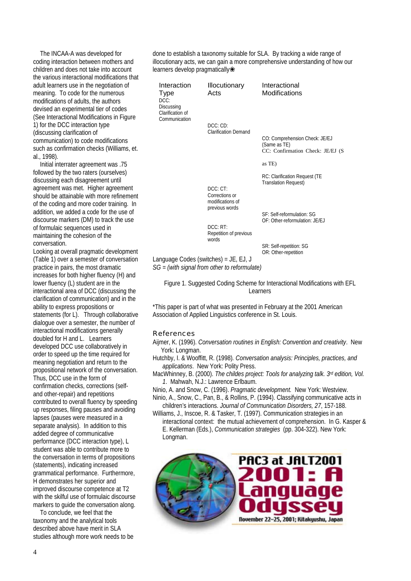The INCAA-A was developed for coding interaction between mothers and children and does not take into account the various interactional modifications that adult learners use in the negotiation of meaning. To code for the numerous modifications of adults, the authors devised an experimental tier of codes (See Interactional Modifications in Figure 1) for the DCC interaction type (discussing clarification of communication) to code modifications such as confirmation checks (Williams, et. al., 1998).

Initial interrater agreement was .75 followed by the two raters (ourselves) discussing each disagreement until agreement was met. Higher agreement should be attainable with more refinement of the coding and more coder training. In addition, we added a code for the use of discourse markers (DM) to track the use of formulaic sequences used in maintaining the cohesion of the conversation.

Looking at overall pragmatic development (Table 1) over a semester of conversation practice in pairs, the most dramatic increases for both higher fluency (H) and lower fluency (L) student are in the interactional area of DCC (discussing the clarification of communication) and in the ability to express propositions or statements (for L). Through collaborative dialogue over a semester, the number of interactional modifications generally doubled for H and L. Learners developed DCC use collaboratively in order to speed up the time required for meaning negotiation and return to the propositional network of the conversation. Thus, DCC use in the form of confirmation checks, corrections (selfand other-repair) and repetitions contributed to overall fluency by speeding up responses, filing pauses and avoiding lapses (pauses were measured in a separate analysis). In addition to this added degree of communicative performance (DCC interaction type), L student was able to contribute more to the conversation in terms of propositions (statements), indicating increased grammatical performance. Furthermore, H demonstrates her superior and improved discourse competence at T2 with the skilful use of formulaic discourse markers to guide the conversation along.

To conclude, we feel that the taxonomy and the analytical tools described above have merit in SLA studies although more work needs to be done to establish a taxonomy suitable for SLA. By tracking a wide range of illocutionary acts, we can gain a more comprehensive understanding of how our learners develop pragmatically❀

| Interaction<br>Type<br>DCC:<br>Discussing<br>Clarification of | <b>Illocutionary</b><br>Acts                                             | Interactional<br>Modifications                                                     |
|---------------------------------------------------------------|--------------------------------------------------------------------------|------------------------------------------------------------------------------------|
| Communication                                                 | DCC:CD:<br><b>Clarification Demand</b>                                   | CO: Comprehension Check: JE/EJ<br>(Same as TE)<br>CC: Confirmation Check: JE/EJ (S |
|                                                               |                                                                          | as TE)                                                                             |
|                                                               | DCC: CT:<br>Corrections or                                               | RC: Clarification Request (TE<br><b>Translation Request)</b>                       |
|                                                               | modifications of<br>previous words<br>DCC: RT:<br>Repetition of previous | SF: Self-reformulation: SG<br>OF: Other-reformulation: JE/EJ                       |
|                                                               | words                                                                    | SR: Self-repetition: SG<br>OR: Other-repetition                                    |

Language Codes (switches) = JE, EJ, J

*SG = (with signal from other to reformulate)* 

Figure 1. Suggested Coding Scheme for Interactional Modifications with EFL Learners

\*This paper is part of what was presented in February at the 2001 American Association of Applied Linguistics conference in St. Louis.

#### References

- Aijmer, K. (1996). *Conversation routines in English: Convention and creativity*. New York: Longman.
- Hutchby, I. & Wooffitt, R. (1998)*. Conversation analysis: Principles, practices, and applications*. New York: Polity Press.
- MacWhinney, B. (2000). *The childes project: Tools for analyzing talk. 3rd edition, Vol. 1*. Mahwah, N.J.: Lawrence Erlbaum.
- Ninio, A. and Snow, C. (1996). *Pragmatic development.* New York: Westview.
- Ninio, A., Snow, C., Pan, B., & Rollins, P. (1994). Classifying communicative acts in children's interactions. *Journal of Communication Disorders, 27*, 157-188.

Williams, J., Inscoe, R. & Tasker, T. (1997). Communication strategies in an interactional context: the mutual achievement of comprehension. In G. Kasper & E. Kellerman (Eds.), *Communication strategies* (pp. 304-322). New York: Longman.

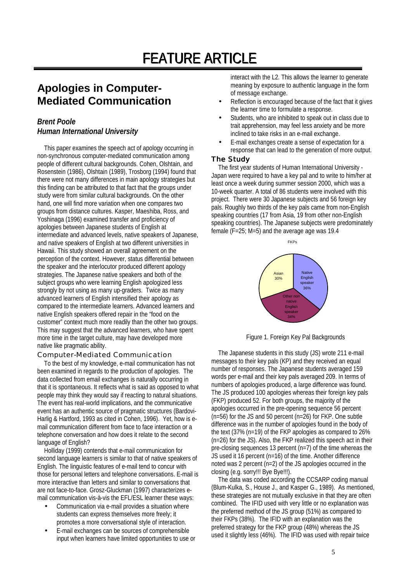## **Apologies in Computer-Mediated Communication**

#### *Brent Poole Human International University*

This paper examines the speech act of apology occurring in non-synchronous computer-mediated communication among people of different cultural backgrounds. Cohen, Olshtain, and Rosenstein (1986), Olshtain (1989), Trosborg (1994) found that there were not many differences in main apology strategies but this finding can be attributed to that fact that the groups under study were from similar cultural backgrounds. On the other hand, one will find more variation when one compares two groups from distance cultures. Kasper, Maeshiba, Ross, and Yoshinaga (1996) examined transfer and proficiency of apologies between Japanese students of English at intermediate and advanced levels, native speakers of Japanese, and native speakers of English at two different universities in Hawaii. This study showed an overall agreement on the perception of the context. However, status differential between the speaker and the interlocutor produced different apology strategies. The Japanese native speakers and both of the subject groups who were learning English apologized less strongly by not using as many up-graders. Twice as many advanced learners of English intensified their apology as compared to the intermediate learners. Advanced learners and native English speakers offered repair in the "food on the customer" context much more readily than the other two groups. This may suggest that the advanced learners, who have spent more time in the target culture, may have developed more native like pragmatic ability.

#### Computer-Mediated Communication

To the best of my knowledge, e-mail communication has not been examined in regards to the production of apologies. The data collected from email exchanges is naturally occurring in that it is spontaneous. It reflects what is said as opposed to what people may think they would say if reacting to natural situations. The event has real-world implications, and the communicative event has an authentic source of pragmatic structures (Bardovi-Harlig & Hartford, 1993 as cited in Cohen, 1996). Yet, how is email communication different from face to face interaction or a telephone conversation and how does it relate to the second language of English?

Holliday (1999) contends that e-mail communication for second language learners is similar to that of native speakers of English. The linguistic features of e-mail tend to concur with those for personal letters and telephone conversations. E-mail is more interactive than letters and similar to conversations that are not face-to-face. Grosz-Gluckman (1997) characterizes email communication vis-à-vis the EFL/ESL learner these ways:

- Communication via e-mail provides a situation where students can express themselves more freely; it promotes a more conversational style of interaction.
- E-mail exchanges can be sources of comprehensible input when learners have limited opportunities to use or

interact with the L2. This allows the learner to generate meaning by exposure to authentic language in the form of message exchange.

- Reflection is encouraged because of the fact that it gives the learner time to formulate a response.
- Students, who are inhibited to speak out in class due to trait apprehension, may feel less anxiety and be more inclined to take risks in an e-mail exchange.
- E-mail exchanges create a sense of expectation for a response that can lead to the generation of more output.

#### The Study

The first year students of Human International University - Japan were required to have a key pal and to write to him/her at least once a week during summer session 2000, which was a 10-week quarter. A total of 86 students were involved with this project. There were 30 Japanese subjects and 56 foreign key pals. Roughly two thirds of the key pals came from non-English speaking countries (17 from Asia, 19 from other non-English speaking countries). The Japanese subjects were predominately female (F=25; M=5) and the average age was 19.4



Figure 1. Foreign Key Pal Backgrounds

The Japanese students in this study (JS) wrote 211 e-mail messages to their key pals (KP) and they received an equal number of responses. The Japanese students averaged 159 words per e-mail and their key pals averaged 209. In terms of numbers of apologies produced, a large difference was found. The JS produced 100 apologies whereas their foreign key pals (FKP) produced 52. For both groups, the majority of the apologies occurred in the pre-opening sequence 56 percent (n=56) for the JS and 50 percent (n=26) for FKP. One subtle difference was in the number of apologies found in the body of the text (37% (n=19) of the FKP apologies as compared to 26% (n=26) for the JS). Also, the FKP realized this speech act in their pre-closing sequences 13 percent (n=7) of the time whereas the JS used it 16 percent (n=16) of the time. Another difference noted was 2 percent (n=2) of the JS apologies occurred in the closing (e.g. sorry!!! Bye Bye!!!).

The data was coded according the CCSARP coding manual (Blum-Kulka, S., House J., and Kasper G., 1989). As mentioned, these strategies are not mutually exclusive in that they are often combined. The IFID used with very little or no explanation was the preferred method of the JS group (51%) as compared to their FKPs (38%). The IFID with an explanation was the preferred strategy for the FKP group (48%) whereas the JS used it slightly less (46%). The IFID was used with repair twice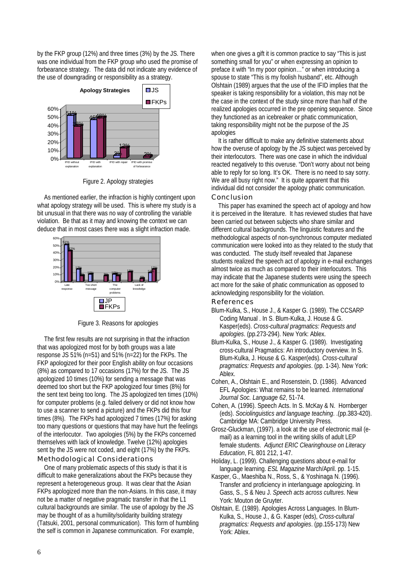by the FKP group (12%) and three times (3%) by the JS. There was one individual from the FKP group who used the promise of forbearance strategy. The data did not indicate any evidence of the use of downgrading or responsibility as a strategy.



Figure 2. Apology strategies

As mentioned earlier, the infraction is highly contingent upon what apology strategy will be used. This is where my study is a bit unusual in that there was no way of controlling the variable violation. Be that as it may and knowing the context we can deduce that in most cases there was a slight infraction made.



Figure 3. Reasons for apologies

The first few results are not surprising in that the infraction that was apologized most for by both groups was a late response JS 51% (n=51) and 51% (n=22) for the FKPs. The FKP apologized for their poor English ability on four occasions (8%) as compared to 17 occasions (17%) for the JS. The JS apologized 10 times (10%) for sending a message that was deemed too short but the FKP apologized four times (8%) for the sent text being too long. The JS apologized ten times (10%) for computer problems (e.g. failed delivery or did not know how to use a scanner to send a picture) and the FKPs did this four times (8%). The FKPs had apologized 7 times (17%) for asking too many questions or questions that may have hurt the feelings of the interlocutor. Two apologies (5%) by the FKPs concerned themselves with lack of knowledge. Twelve (12%) apologies sent by the JS were not coded, and eight (17%) by the FKPs.

#### Methodological Considerations

One of many problematic aspects of this study is that it is difficult to make generalizations about the FKPs because they represent a heterogeneous group. It was clear that the Asian FKPs apologized more than the non-Asians. In this case, it may not be a matter of negative pragmatic transfer in that the L1 cultural backgrounds are similar. The use of apology by the JS may be thought of as a humility/solidarity building strategy (Tatsuki, 2001, personal communication). This form of humbling the self is common in Japanese communication. For example,

when one gives a gift it is common practice to say "This is just something small for you" or when expressing an opinion to preface it with "In my poor opinion…" or when introducing a spouse to state "This is my foolish husband", etc. Although Olshtain (1989) argues that the use of the IFID implies that the speaker is taking responsibility for a violation, this may not be the case in the context of the study since more than half of the realized apologies occurred in the pre opening sequence. Since they functioned as an icebreaker or phatic communication, taking responsibility might not be the purpose of the JS apologies

It is rather difficult to make any definitive statements about how the overuse of apology by the JS subject was perceived by their interlocutors. There was one case in which the individual reacted negatively to this overuse. "Don't worry about not being able to reply for so long. It's OK. There is no need to say sorry. We are all busy right now." It is quite apparent that this individual did not consider the apology phatic communication. Conclusion

This paper has examined the speech act of apology and how it is perceived in the literature. It has reviewed studies that have been carried out between subjects who share similar and different cultural backgrounds. The linguistic features and the methodological aspects of non-synchronous computer mediated communication were looked into as they related to the study that was conducted. The study itself revealed that Japanese students realized the speech act of apology in e-mail exchanges almost twice as much as compared to their interlocutors. This may indicate that the Japanese students were using the speech act more for the sake of phatic communication as opposed to acknowledging responsibility for the violation. References

- Blum-Kulka, S., House J., & Kasper G. (1989). The CCSARP Coding Manual . In S. Blum-Kulka, J. House & G. Kasper(eds). *Cross-cultural pragmatics: Requests and apologies*. (pp.273-294). New York: Ablex.
- Blum-Kulka, S., House J., & Kasper G. (1989). Investigating cross-cultural Pragmatics: An introductory overview. In S. Blum-Kulka, J. House & G. Kasper(eds). *Cross-cultural pragmatics: Requests and apologies*. (pp. 1-34). New York: Ablex.
- Cohen, A., Olshtain E., and Rosenstein, D. (1986). Advanced EFL Apologies: What remains to be learned. *International Journal Soc. Language 62*, 51-74.
- Cohen, A. (1996). Speech Acts. In S. McKay & N. Hornberger (eds). *Sociolinguistics and language teaching*. .(pp.383-420). Cambridge MA: Cambridge University Press.
- Grosz-Gluckman, (1997). a look at the use of electronic mail (email) as a learning tool in the writing skills of adult LEP female students. *Adjunct ERIC Clearinghouse on Literacy Education*, FL 801 212, 1-47.
- Holiday, L. (1999). Challenging questions about e-mail for language learning. *ESL Magazine* March/April. pp. 1-15.
- Kasper, G., Maeshiba N., Ross, S., & Yoshinaga N. (1996). Transfer and proficiency in interlanguage apologizing. In Gass, S., S & Neu J. *Speech acts across cultures*. New York: Mouton de Gruyter.
- Olshtain, E. (1989). Apologies Across Languages. In Blum-Kulka, S., House J., & G. Kasper (eds), *Cross-cultural pragmatics: Requests and apologies*. (pp.155-173) New York: Ablex.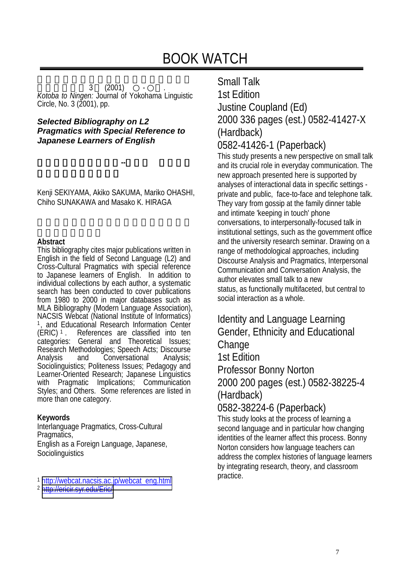$3 (2001)$  · · *Kotoba to Ningen:* Journal of Yokohama Linguistic Circle, No. 3 (2001), pp.

#### *Selected Bibliography on L2 Pragmatics with Special Reference to Japanese Learners of English*

Kenji SEKIYAMA, Akiko SAKUMA, Mariko OHASHI, Chiho SUNAKAWA and Masako K. HIRAGA

第2言語語用論文献集 第2言語語用論文献集**--**日本人英語学習者 日本人英語学習者

#### **Abstract**

This bibliography cites major publications written in English in the field of Second Language (L2) and Cross-Cultural Pragmatics with special reference to Japanese learners of English. In addition to individual collections by each author, a systematic search has been conducted to cover publications from 1980 to 2000 in major databases such as MLA Bibliography (Modern Language Association), NACSIS Webcat (National Institute of Informatics) <sup>1</sup>, and Educational Research Information Center (ERIC)<sup>1</sup>. References are classified into ten References are classified into ten categories: General and Theoretical Issues; Research Methodologies; Speech Acts; Discourse Analysis and Conversational Analysis; Sociolinguistics; Politeness Issues; Pedagogy and Learner-Oriented Research; Japanese Linguistics with Pragmatic Implications; Communication Styles; and Others. Some references are listed in more than one category.

#### **Keywords**

Interlanguage Pragmatics, Cross-Cultural Pragmatics, English as a Foreign Language, Japanese, **Sociolinguistics** 

<sup>1</sup> [http://webcat.nacsis.ac.jp/webcat\\_eng.html](http://webcat.nacsis.ac.jp/webcat_eng.html)

<sup>2</sup> <http://ericir.syr.edu/Eric/>

## Small Talk 1st Edition Justine Coupland (Ed) 2000 336 pages (est.) 0582-41427-X (Hardback)

### 0582-41426-1 (Paperback)

This study presents a new perspective on small talk and its crucial role in everyday communication. The new approach presented here is supported by analyses of interactional data in specific settings private and public, face-to-face and telephone talk. They vary from gossip at the family dinner table and intimate 'keeping in touch' phone conversations, to interpersonally-focused talk in institutional settings, such as the government office and the university research seminar. Drawing on a range of methodological approaches, including Discourse Analysis and Pragmatics, Interpersonal Communication and Conversation Analysis, the author elevates small talk to a new status, as functionally multifaceted, but central to social interaction as a whole.

## Identity and Language Learning Gender, Ethnicity and Educational **Change** 1st Edition

Professor Bonny Norton 2000 200 pages (est.) 0582-38225-4 (Hardback)

0582-38224-6 (Paperback)

This study looks at the process of learning a second language and in particular how changing identities of the learner affect this process. Bonny Norton considers how language teachers can address the complex histories of language learners by integrating research, theory, and classroom practice.